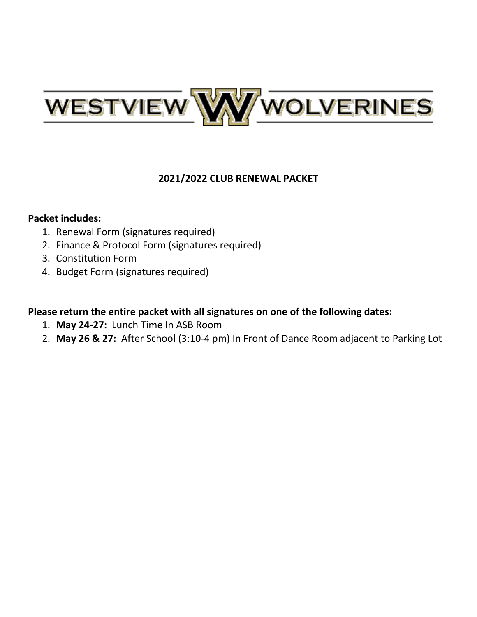

### **2021/2022 CLUB RENEWAL PACKET**

### **Packet includes:**

- 1. Renewal Form (signatures required)
- 2. Finance & Protocol Form (signatures required)
- 3. Constitution Form
- 4. Budget Form (signatures required)

## **Please return the entire packet with all signatures on one of the following dates:**

- 1. **May 24-27:** Lunch Time In ASB Room
- 2. **May 26 & 27:** After School (3:10-4 pm) In Front of Dance Room adjacent to Parking Lot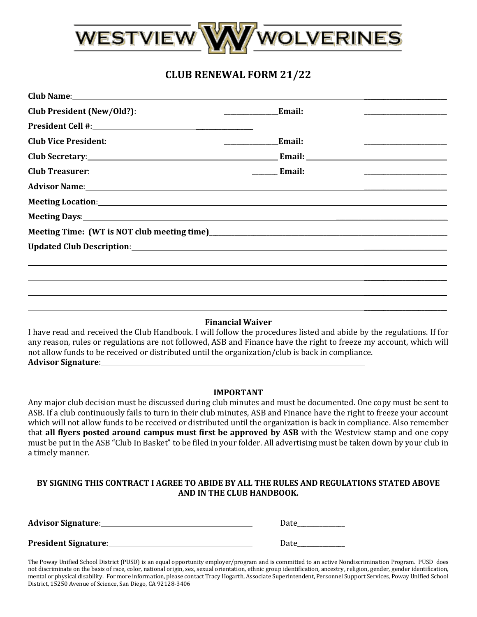

## **CLUB RENEWAL FORM 21/22**

| Meeting Days: the contract of the contract of the contract of the contract of the contract of the contract of the contract of the contract of the contract of the contract of the contract of the contract of the contract of |                                                                                                                                                                                                                                |
|-------------------------------------------------------------------------------------------------------------------------------------------------------------------------------------------------------------------------------|--------------------------------------------------------------------------------------------------------------------------------------------------------------------------------------------------------------------------------|
|                                                                                                                                                                                                                               |                                                                                                                                                                                                                                |
| Updated Club Description: Note and the set of the set of the set of the set of the set of the set of the set of the set of the set of the set of the set of the set of the set of the set of the set of the set of the set of |                                                                                                                                                                                                                                |
| ,他们的人们也不会不会不会。""我们的人们,我们的人们,我们的人们,我们的人们,我们的人们,我们的人们,我们的人们,我们的人们,我们的人们,我们的人们,我们的人                                                                                                                                              |                                                                                                                                                                                                                                |
|                                                                                                                                                                                                                               |                                                                                                                                                                                                                                |
|                                                                                                                                                                                                                               |                                                                                                                                                                                                                                |
|                                                                                                                                                                                                                               | Advisor Name: 1988 and 2008 and 2008 and 2008 and 2008 and 2008 and 2008 and 2008 and 2008 and 2008 and 2008 and 2008 and 2008 and 2008 and 2008 and 2008 and 2008 and 2008 and 2008 and 2008 and 2008 and 2008 and 2008 and 2 |

### **Financial Waiver**

 $\overline{\phantom{a}}$  , where  $\overline{\phantom{a}}$ 

I have read and received the Club Handbook. I will follow the procedures listed and abide by the regulations. If for any reason, rules or regulations are not followed, ASB and Finance have the right to freeze my account, which will not allow funds to be received or distributed until the organization/club is back in compliance. **Advisor Signature**:

#### **IMPORTANT**

Any major club decision must be discussed during club minutes and must be documented. One copy must be sent to ASB. If a club continuously fails to turn in their club minutes, ASB and Finance have the right to freeze your account which will not allow funds to be received or distributed until the organization is back in compliance. Also remember that **all flyers posted around campus must first be approved by ASB** with the Westview stamp and one copy must be put in the ASB "Club In Basket" to be filed in your folder. All advertising must be taken down by your club in a timely manner.

### **BY SIGNING THIS CONTRACT I AGREE TO ABIDE BY ALL THE RULES AND REGULATIONS STATED ABOVE AND IN THE CLUB HANDBOOK.**

| <b>Advisor Signature:</b>   | Date |
|-----------------------------|------|
| <b>President Signature:</b> | Date |

The Poway Unified School District (PUSD) is an equal opportunity employer/program and is committed to an active Nondiscrimination Program. PUSD does not discriminate on the basis of race, color, national origin, sex, sexual orientation, ethnic group identification, ancestry, religion, gender, gender identification, mental or physical disability. For more information, please contact Tracy Hogarth, Associate Superintendent, Personnel Support Services, Poway Unified School District, 15250 Avenue of Science, San Diego, CA 92128-3406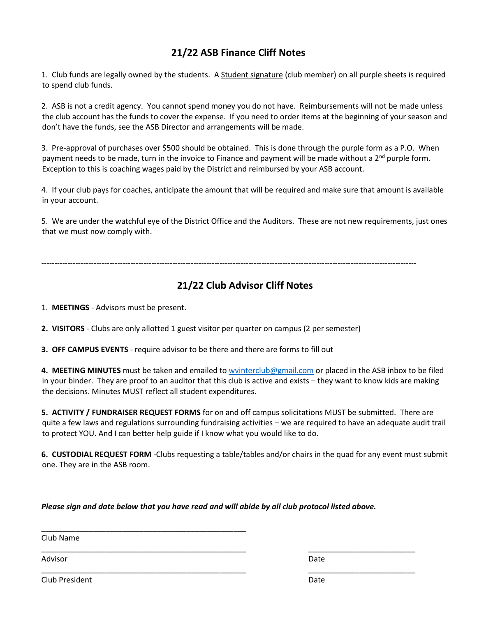## **21/22 ASB Finance Cliff Notes**

1. Club funds are legally owned by the students. A Student signature (club member) on all purple sheets is required to spend club funds.

2. ASB is not a credit agency. You cannot spend money you do not have. Reimbursements will not be made unless the club account has the funds to cover the expense. If you need to order items at the beginning of your season and don't have the funds, see the ASB Director and arrangements will be made.

3. Pre-approval of purchases over \$500 should be obtained. This is done through the purple form as a P.O. When payment needs to be made, turn in the invoice to Finance and payment will be made without a  $2^{nd}$  purple form. Exception to this is coaching wages paid by the District and reimbursed by your ASB account.

4. If your club pays for coaches, anticipate the amount that will be required and make sure that amount is available in your account.

5. We are under the watchful eye of the District Office and the Auditors. These are not new requirements, just ones that we must now comply with.

-----------------------------------------------------------------------------------------------------------------------------------------------

### **21/22 Club Advisor Cliff Notes**

1. **MEETINGS** - Advisors must be present.

**2. VISITORS** - Clubs are only allotted 1 guest visitor per quarter on campus (2 per semester)

**3. OFF CAMPUS EVENTS** - require advisor to be there and there are forms to fill out

**4. MEETING MINUTES** must be taken and emailed t[o wvinterclub@gmail.com](mailto:wvinterclub@gmail.com) or placed in the ASB inbox to be filed in your binder. They are proof to an auditor that this club is active and exists – they want to know kids are making the decisions. Minutes MUST reflect all student expenditures.

**5. ACTIVITY / FUNDRAISER REQUEST FORMS** for on and off campus solicitations MUST be submitted. There are quite a few laws and regulations surrounding fundraising activities – we are required to have an adequate audit trail to protect YOU. And I can better help guide if I know what you would like to do.

**6. CUSTODIAL REQUEST FORM** -Clubs requesting a table/tables and/or chairs in the quad for any event must submit one. They are in the ASB room.

*Please sign and date below that you have read and will abide by all club protocol listed above.*

\_\_\_\_\_\_\_\_\_\_\_\_\_\_\_\_\_\_\_\_\_\_\_\_\_\_\_\_\_\_\_\_\_\_\_\_\_\_\_\_\_\_\_\_\_\_\_\_ \_\_\_\_\_\_\_\_\_\_\_\_\_\_\_\_\_\_\_\_\_\_\_\_\_

\_\_\_\_\_\_\_\_\_\_\_\_\_\_\_\_\_\_\_\_\_\_\_\_\_\_\_\_\_\_\_\_\_\_\_\_\_\_\_\_\_\_\_\_\_\_\_\_ \_\_\_\_\_\_\_\_\_\_\_\_\_\_\_\_\_\_\_\_\_\_\_\_\_

\_\_\_\_\_\_\_\_\_\_\_\_\_\_\_\_\_\_\_\_\_\_\_\_\_\_\_\_\_\_\_\_\_\_\_\_\_\_\_\_\_\_\_\_\_\_\_\_

Club Name

Advisor **Date** 

Club President Date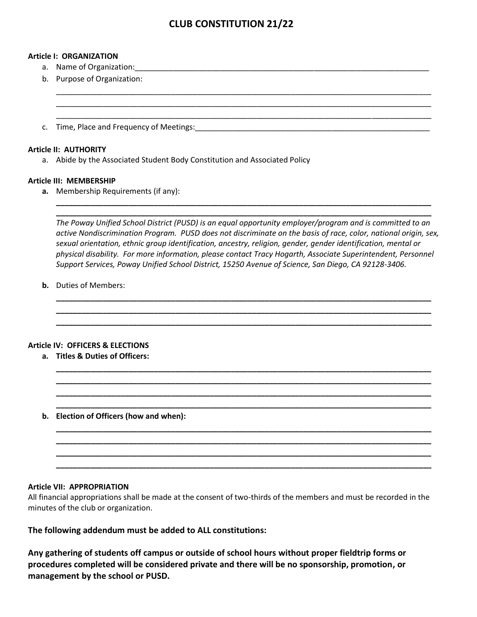### **CLUB CONSTITUTION 21/22**

\_\_\_\_\_\_\_\_\_\_\_\_\_\_\_\_\_\_\_\_\_\_\_\_\_\_\_\_\_\_\_\_\_\_\_\_\_\_\_\_\_\_\_\_\_\_\_\_\_\_\_\_\_\_\_\_\_\_\_\_\_\_\_\_\_\_\_\_\_\_\_\_\_\_\_\_\_\_\_\_\_\_\_\_\_\_\_\_ \_\_\_\_\_\_\_\_\_\_\_\_\_\_\_\_\_\_\_\_\_\_\_\_\_\_\_\_\_\_\_\_\_\_\_\_\_\_\_\_\_\_\_\_\_\_\_\_\_\_\_\_\_\_\_\_\_\_\_\_\_\_\_\_\_\_\_\_\_\_\_\_\_\_\_\_\_\_\_\_\_\_\_\_\_\_\_\_ \_\_\_\_\_\_\_\_\_\_\_\_\_\_\_\_\_\_\_\_\_\_\_\_\_\_\_\_\_\_\_\_\_\_\_\_\_\_\_\_\_\_\_\_\_\_\_\_\_\_\_\_\_\_\_\_\_\_\_\_\_\_\_\_\_\_\_\_\_\_\_\_\_\_\_\_\_\_\_\_\_\_\_\_\_\_\_\_

#### **Article I: ORGANIZATION**

- a. Name of Organization:
- b. Purpose of Organization:
- c. Time, Place and Frequency of Meetings:

#### **Article II: AUTHORITY**

a. Abide by the Associated Student Body Constitution and Associated Policy

#### **Article III: MEMBERSHIP**

**a.** Membership Requirements (if any):

*The Poway Unified School District (PUSD) is an equal opportunity employer/program and is committed to an active Nondiscrimination Program. PUSD does not discriminate on the basis of race, color, national origin, sex, sexual orientation, ethnic group identification, ancestry, religion, gender, gender identification, mental or physical disability. For more information, please contact Tracy Hogarth, Associate Superintendent, Personnel Support Services, Poway Unified School District, 15250 Avenue of Science, San Diego, CA 92128-3406.*

**\_\_\_\_\_\_\_\_\_\_\_\_\_\_\_\_\_\_\_\_\_\_\_\_\_\_\_\_\_\_\_\_\_\_\_\_\_\_\_\_\_\_\_\_\_\_\_\_\_\_\_\_\_\_\_\_\_\_\_\_\_\_\_\_\_\_\_\_\_\_\_\_\_\_\_\_\_\_\_\_\_\_\_\_\_\_\_\_ \_\_\_\_\_\_\_\_\_\_\_\_\_\_\_\_\_\_\_\_\_\_\_\_\_\_\_\_\_\_\_\_\_\_\_\_\_\_\_\_\_\_\_\_\_\_\_\_\_\_\_\_\_\_\_\_\_\_\_\_\_\_\_\_\_\_\_\_\_\_\_\_\_\_\_\_\_\_\_\_\_\_\_\_\_\_\_\_ \_\_\_\_\_\_\_\_\_\_\_\_\_\_\_\_\_\_\_\_\_\_\_\_\_\_\_\_\_\_\_\_\_\_\_\_\_\_\_\_\_\_\_\_\_\_\_\_\_\_\_\_\_\_\_\_\_\_\_\_\_\_\_\_\_\_\_\_\_\_\_\_\_\_\_\_\_\_\_\_\_\_\_\_\_\_\_\_**

**\_\_\_\_\_\_\_\_\_\_\_\_\_\_\_\_\_\_\_\_\_\_\_\_\_\_\_\_\_\_\_\_\_\_\_\_\_\_\_\_\_\_\_\_\_\_\_\_\_\_\_\_\_\_\_\_\_\_\_\_\_\_\_\_\_\_\_\_\_\_\_\_\_\_\_\_\_\_\_\_\_\_\_\_\_\_\_\_ \_\_\_\_\_\_\_\_\_\_\_\_\_\_\_\_\_\_\_\_\_\_\_\_\_\_\_\_\_\_\_\_\_\_\_\_\_\_\_\_\_\_\_\_\_\_\_\_\_\_\_\_\_\_\_\_\_\_\_\_\_\_\_\_\_\_\_\_\_\_\_\_\_\_\_\_\_\_\_\_\_\_\_\_\_\_\_\_ \_\_\_\_\_\_\_\_\_\_\_\_\_\_\_\_\_\_\_\_\_\_\_\_\_\_\_\_\_\_\_\_\_\_\_\_\_\_\_\_\_\_\_\_\_\_\_\_\_\_\_\_\_\_\_\_\_\_\_\_\_\_\_\_\_\_\_\_\_\_\_\_\_\_\_\_\_\_\_\_\_\_\_\_\_\_\_\_ \_\_\_\_\_\_\_\_\_\_\_\_\_\_\_\_\_\_\_\_\_\_\_\_\_\_\_\_\_\_\_\_\_\_\_\_\_\_\_\_\_\_\_\_\_\_\_\_\_\_\_\_\_\_\_\_\_\_\_\_\_\_\_\_\_\_\_\_\_\_\_\_\_\_\_\_\_\_\_\_\_\_\_\_\_\_\_\_**

**\_\_\_\_\_\_\_\_\_\_\_\_\_\_\_\_\_\_\_\_\_\_\_\_\_\_\_\_\_\_\_\_\_\_\_\_\_\_\_\_\_\_\_\_\_\_\_\_\_\_\_\_\_\_\_\_\_\_\_\_\_\_\_\_\_\_\_\_\_\_\_\_\_\_\_\_\_\_\_\_\_\_\_\_\_\_\_\_ \_\_\_\_\_\_\_\_\_\_\_\_\_\_\_\_\_\_\_\_\_\_\_\_\_\_\_\_\_\_\_\_\_\_\_\_\_\_\_\_\_\_\_\_\_\_\_\_\_\_\_\_\_\_\_\_\_\_\_\_\_\_\_\_\_\_\_\_\_\_\_\_\_\_\_\_\_\_\_\_\_\_\_\_\_\_\_\_ \_\_\_\_\_\_\_\_\_\_\_\_\_\_\_\_\_\_\_\_\_\_\_\_\_\_\_\_\_\_\_\_\_\_\_\_\_\_\_\_\_\_\_\_\_\_\_\_\_\_\_\_\_\_\_\_\_\_\_\_\_\_\_\_\_\_\_\_\_\_\_\_\_\_\_\_\_\_\_\_\_\_\_\_\_\_\_\_ \_\_\_\_\_\_\_\_\_\_\_\_\_\_\_\_\_\_\_\_\_\_\_\_\_\_\_\_\_\_\_\_\_\_\_\_\_\_\_\_\_\_\_\_\_\_\_\_\_\_\_\_\_\_\_\_\_\_\_\_\_\_\_\_\_\_\_\_\_\_\_\_\_\_\_\_\_\_\_\_\_\_\_\_\_\_\_\_**

**\_\_\_\_\_\_\_\_\_\_\_\_\_\_\_\_\_\_\_\_\_\_\_\_\_\_\_\_\_\_\_\_\_\_\_\_\_\_\_\_\_\_\_\_\_\_\_\_\_\_\_\_\_\_\_\_\_\_\_\_\_\_\_\_\_\_\_\_\_\_\_\_\_\_\_\_\_\_\_\_\_\_\_\_\_\_\_\_ \_\_\_\_\_\_\_\_\_\_\_\_\_\_\_\_\_\_\_\_\_\_\_\_\_\_\_\_\_\_\_\_\_\_\_\_\_\_\_\_\_\_\_\_\_\_\_\_\_\_\_\_\_\_\_\_\_\_\_\_\_\_\_\_\_\_\_\_\_\_\_\_\_\_\_\_\_\_\_\_\_\_\_\_\_\_\_\_**

**b.** Duties of Members:

### **Article IV: OFFICERS & ELECTIONS**

- **a. Titles & Duties of Officers:**
- **b. Election of Officers (how and when):**

### **Article VII: APPROPRIATION**

All financial appropriations shall be made at the consent of two-thirds of the members and must be recorded in the minutes of the club or organization.

**The following addendum must be added to ALL constitutions:**

**Any gathering of students off campus or outside of school hours without proper fieldtrip forms or procedures completed will be considered private and there will be no sponsorship, promotion, or management by the school or PUSD.**